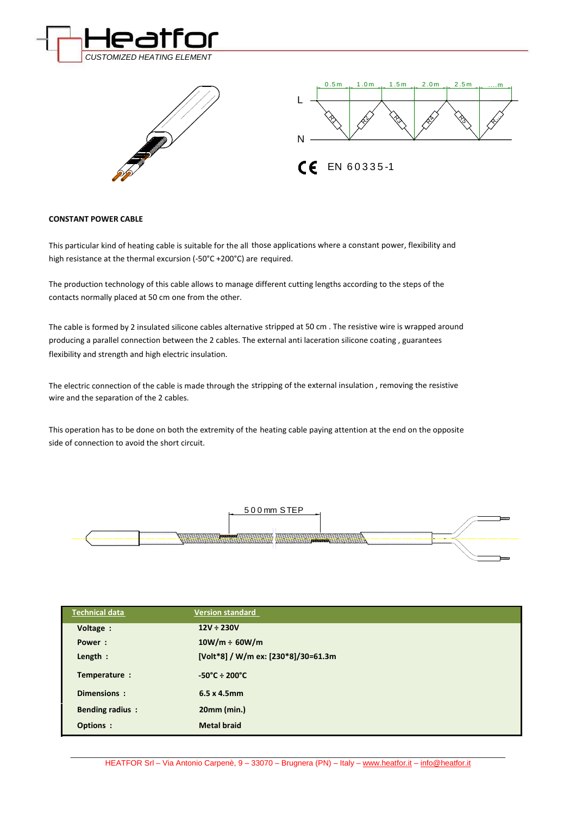





## **CONSTANT POWER CABLE**

This particular kind of heating cable is suitable for the all those applications where a constant power, flexibility and high resistance at the thermal excursion (-50°C +200°C) are required.

The production technology of this cable allows to manage different cutting lengths according to the steps of the contacts normally placed at 50 cm one from the other.

The cable is formed by 2 insulated silicone cables alternative stripped at 50 cm . The resistive wire is wrapped around producing a parallel connection between the 2 cables. The external anti laceration silicone coating , guarantees flexibility and strength and high electric insulation.

The electric connection of the cable is made through the stripping of the external insulation , removing the resistive wire and the separation of the 2 cables.

This operation has to be done on both the extremity of the heating cable paying attention at the end on the opposite side of connection to avoid the short circuit.



| <b>Technical data</b>  | <b>Version standard</b>             |
|------------------------|-------------------------------------|
| Voltage :              | $12V \div 230V$                     |
| Power:                 | $10W/m \div 60W/m$                  |
| Length :               | [Volt*8] / W/m ex: [230*8]/30=61.3m |
| Temperature :          | $-50^{\circ}$ C ÷ 200 $^{\circ}$ C  |
| Dimensions:            | $6.5 \times 4.5$ mm                 |
| <b>Bending radius:</b> | 20mm (min.)                         |
| Options :              | <b>Metal braid</b>                  |